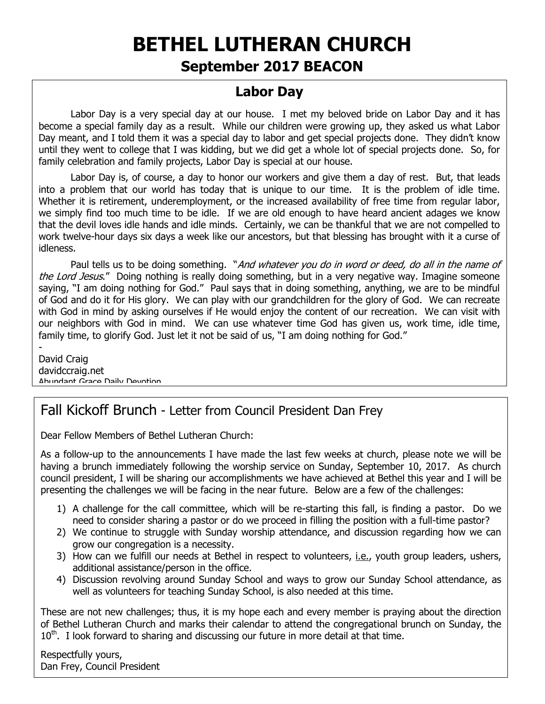# **BETHEL LUTHERAN CHURCH**

# **September 2017 BEACON**

# **Labor Day**

Labor Day is a very special day at our house. I met my beloved bride on Labor Day and it has become a special family day as a result. While our children were growing up, they asked us what Labor Day meant, and I told them it was a special day to labor and get special projects done. They didn't know until they went to college that I was kidding, but we did get a whole lot of special projects done. So, for family celebration and family projects, Labor Day is special at our house.

Labor Day is, of course, a day to honor our workers and give them a day of rest. But, that leads into a problem that our world has today that is unique to our time. It is the problem of idle time. Whether it is retirement, underemployment, or the increased availability of free time from regular labor, we simply find too much time to be idle. If we are old enough to have heard ancient adages we know that the devil loves idle hands and idle minds. Certainly, we can be thankful that we are not compelled to work twelve-hour days six days a week like our ancestors, but that blessing has brought with it a curse of idleness.

Paul tells us to be doing something. "And whatever you do in word or deed, do all in the name of the Lord Jesus." Doing nothing is really doing something, but in a very negative way. Imagine someone saying, "I am doing nothing for God." Paul says that in doing something, anything, we are to be mindful of God and do it for His glory. We can play with our grandchildren for the glory of God. We can recreate with God in mind by asking ourselves if He would enjoy the content of our recreation. We can visit with our neighbors with God in mind. We can use whatever time God has given us, work time, idle time, family time, to glorify God. Just let it not be said of us, "I am doing nothing for God."

David Craig davidccraig.net Abundant Grace Daily Devotion

-

# Fall Kickoff Brunch - Letter from Council President Dan Frey

Dear Fellow Members of Bethel Lutheran Church:

As a follow-up to the announcements I have made the last few weeks at church, please note we will be having a brunch immediately following the worship service on Sunday, September 10, 2017. As church council president, I will be sharing our accomplishments we have achieved at Bethel this year and I will be presenting the challenges we will be facing in the near future. Below are a few of the challenges:

- 1) A challenge for the call committee, which will be re-starting this fall, is finding a pastor. Do we need to consider sharing a pastor or do we proceed in filling the position with a full-time pastor?
- 2) We continue to struggle with Sunday worship attendance, and discussion regarding how we can grow our congregation is a necessity.
- 3) How can we fulfill our needs at Bethel in respect to volunteers, i.e., youth group leaders, ushers, additional assistance/person in the office.
- 4) Discussion revolving around Sunday School and ways to grow our Sunday School attendance, as well as volunteers for teaching Sunday School, is also needed at this time.

These are not new challenges; thus, it is my hope each and every member is praying about the direction of Bethel Lutheran Church and marks their calendar to attend the congregational brunch on Sunday, the  $10<sup>th</sup>$ . I look forward to sharing and discussing our future in more detail at that time.

Respectfully yours, Dan Frey, Council President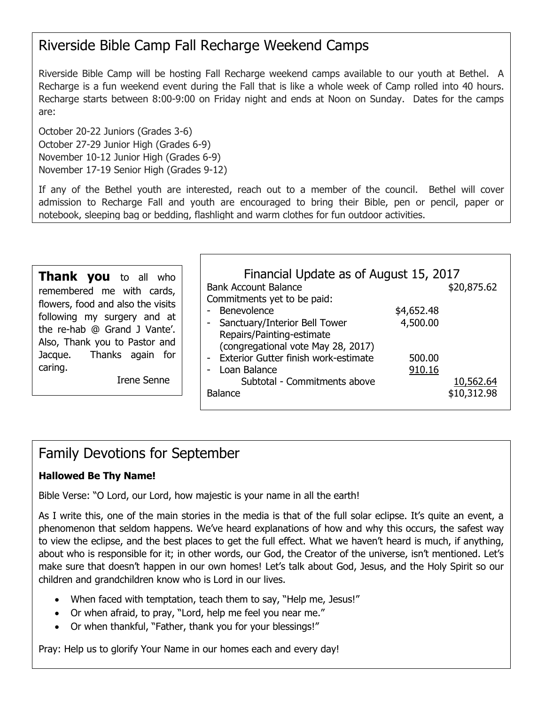# Riverside Bible Camp Fall Recharge Weekend Camps

Riverside Bible Camp will be hosting Fall Recharge weekend camps available to our youth at Bethel. A Recharge is a fun weekend event during the Fall that is like a whole week of Camp rolled into 40 hours. Recharge starts between 8:00-9:00 on Friday night and ends at Noon on Sunday. Dates for the camps are:

October 20-22 Juniors (Grades 3-6) October 27-29 Junior High (Grades 6-9) November 10-12 Junior High (Grades 6-9) November 17-19 Senior High (Grades 9-12)

If any of the Bethel youth are interested, reach out to a member of the council. Bethel will cover admission to Recharge Fall and youth are encouraged to bring their Bible, pen or pencil, paper or notebook, sleeping bag or bedding, flashlight and warm clothes for fun outdoor activities.

**Thank you** to all who remembered me with cards, flowers, food and also the visits following my surgery and at the re-hab @ Grand J Vante'. Also, Thank you to Pastor and Jacque. Thanks again for caring.

Irene Senne

| Financial Update as of August 15, 2017 |            |             |  |  |
|----------------------------------------|------------|-------------|--|--|
| <b>Bank Account Balance</b>            |            | \$20,875.62 |  |  |
| Commitments yet to be paid:            |            |             |  |  |
| Benevolence                            | \$4,652.48 |             |  |  |
| Sanctuary/Interior Bell Tower          | 4,500.00   |             |  |  |
| Repairs/Painting-estimate              |            |             |  |  |
| (congregational vote May 28, 2017)     |            |             |  |  |
| - Exterior Gutter finish work-estimate | 500.00     |             |  |  |
| - Loan Balance                         | 910.16     |             |  |  |
| Subtotal - Commitments above           |            | 10,562.64   |  |  |
| <b>Balance</b>                         |            | \$10,312.98 |  |  |
|                                        |            |             |  |  |

# Family Devotions for September

#### **Hallowed Be Thy Name!**

Bible Verse: "O Lord, our Lord, how majestic is your name in all the earth!

As I write this, one of the main stories in the media is that of the full solar eclipse. It's quite an event, a phenomenon that seldom happens. We've heard explanations of how and why this occurs, the safest way to view the eclipse, and the best places to get the full effect. What we haven't heard is much, if anything, about who is responsible for it; in other words, our God, the Creator of the universe, isn't mentioned. Let's make sure that doesn't happen in our own homes! Let's talk about God, Jesus, and the Holy Spirit so our children and grandchildren know who is Lord in our lives.

- When faced with temptation, teach them to say, "Help me, Jesus!"
- Or when afraid, to pray, "Lord, help me feel you near me."
- Or when thankful, "Father, thank you for your blessings!"

Pray: Help us to glorify Your Name in our homes each and every day!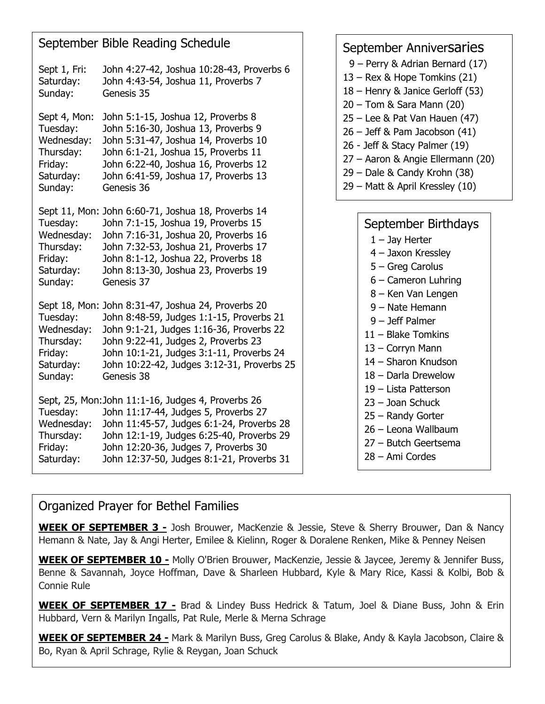|                                                                                        | September Bible Reading Schedule                                                                                                                                                                                                                                                          | September Anniversaries                                                                                                                                                                                       |
|----------------------------------------------------------------------------------------|-------------------------------------------------------------------------------------------------------------------------------------------------------------------------------------------------------------------------------------------------------------------------------------------|---------------------------------------------------------------------------------------------------------------------------------------------------------------------------------------------------------------|
| Sept 1, Fri:<br>Saturday:<br>Sunday:                                                   | John 4:27-42, Joshua 10:28-43, Proverbs 6<br>John 4:43-54, Joshua 11, Proverbs 7<br>Genesis 35                                                                                                                                                                                            | 9 - Perry & Adrian Bernard (17)<br>13 - Rex & Hope Tomkins (21)<br>18 - Henry & Janice Gerloff (53)<br>$20 -$ Tom & Sara Mann (20)                                                                            |
| Sept 4, Mon:<br>Tuesday:<br>Wednesday:<br>Thursday:<br>Friday:<br>Saturday:<br>Sunday: | John 5:1-15, Joshua 12, Proverbs 8<br>John 5:16-30, Joshua 13, Proverbs 9<br>John 5:31-47, Joshua 14, Proverbs 10<br>John 6:1-21, Joshua 15, Proverbs 11<br>John 6:22-40, Joshua 16, Proverbs 12<br>John 6:41-59, Joshua 17, Proverbs 13<br>Genesis 36                                    | $25 -$ Lee & Pat Van Hauen (47)<br>$26 - Jeff$ & Pam Jacobson $(41)$<br>26 - Jeff & Stacy Palmer (19)<br>27 - Aaron & Angie Ellermann (20)<br>29 - Dale & Candy Krohn (38)<br>29 - Matt & April Kressley (10) |
| Tuesday:<br>Wednesday:<br>Thursday:<br>Friday:<br>Saturday:<br>Sunday:                 | Sept 11, Mon: John 6:60-71, Joshua 18, Proverbs 14<br>John 7:1-15, Joshua 19, Proverbs 15<br>John 7:16-31, Joshua 20, Proverbs 16<br>John 7:32-53, Joshua 21, Proverbs 17<br>John 8:1-12, Joshua 22, Proverbs 18<br>John 8:13-30, Joshua 23, Proverbs 19<br>Genesis 37                    | September Birthdays<br>$1 -$ Jay Herter<br>4 - Jaxon Kressley<br>$5 - Greg$ Carolus<br>$6$ – Cameron Luhring                                                                                                  |
| Tuesday:<br>Wednesday:<br>Thursday:<br>Friday:<br>Saturday:<br>Sunday:                 | Sept 18, Mon: John 8:31-47, Joshua 24, Proverbs 20<br>John 8:48-59, Judges 1:1-15, Proverbs 21<br>John 9:1-21, Judges 1:16-36, Proverbs 22<br>John 9:22-41, Judges 2, Proverbs 23<br>John 10:1-21, Judges 3:1-11, Proverbs 24<br>John 10:22-42, Judges 3:12-31, Proverbs 25<br>Genesis 38 | 8 - Ken Van Lengen<br>9 - Nate Hemann<br>9 - Jeff Palmer<br>$11 -$ Blake Tomkins<br>13 - Corryn Mann<br>14 - Sharon Knudson<br>18 - Darla Drewelow<br>19 - Lista Patterson                                    |
| Tuesday:<br>Wednesday:<br>Thursday:<br>Friday:<br>Saturday:                            | Sept, 25, Mon: John 11:1-16, Judges 4, Proverbs 26<br>John 11:17-44, Judges 5, Proverbs 27<br>John 11:45-57, Judges 6:1-24, Proverbs 28<br>John 12:1-19, Judges 6:25-40, Proverbs 29<br>John 12:20-36, Judges 7, Proverbs 30<br>John 12:37-50, Judges 8:1-21, Proverbs 31                 | $23 -$ Joan Schuck<br>25 - Randy Gorter<br>26 - Leona Wallbaum<br>27 - Butch Geertsema<br>28 - Ami Cordes                                                                                                     |

#### Organized Prayer for Bethel Families

**WEEK OF SEPTEMBER 3 -** Josh Brouwer, MacKenzie & Jessie, Steve & Sherry Brouwer, Dan & Nancy Hemann & Nate, Jay & Angi Herter, Emilee & Kielinn, Roger & Doralene Renken, Mike & Penney Neisen

**WEEK OF SEPTEMBER 10 -** Molly O'Brien Brouwer, MacKenzie, Jessie & Jaycee, Jeremy & Jennifer Buss, Benne & Savannah, Joyce Hoffman, Dave & Sharleen Hubbard, Kyle & Mary Rice, Kassi & Kolbi, Bob & Connie Rule

**WEEK OF SEPTEMBER 17 -** Brad & Lindey Buss Hedrick & Tatum, Joel & Diane Buss, John & Erin Hubbard, Vern & Marilyn Ingalls, Pat Rule, Merle & Merna Schrage

**WEEK OF SEPTEMBER 24 -** Mark & Marilyn Buss, Greg Carolus & Blake, Andy & Kayla Jacobson, Claire & Bo, Ryan & April Schrage, Rylie & Reygan, Joan Schuck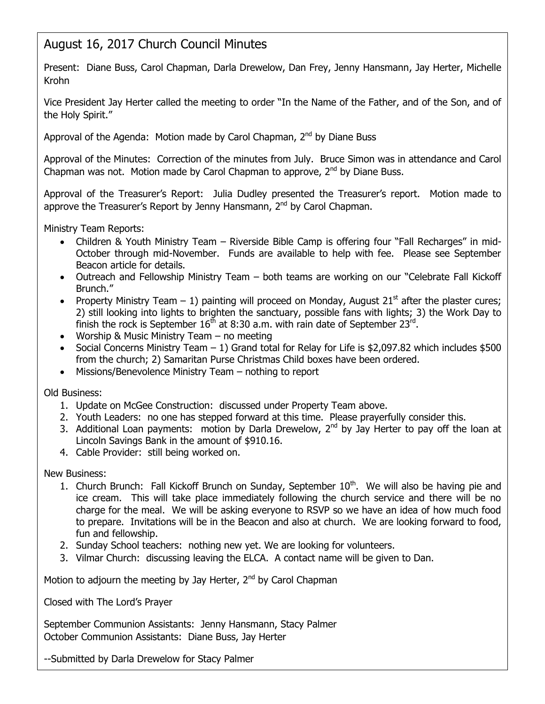# August 16, 2017 Church Council Minutes

Present: Diane Buss, Carol Chapman, Darla Drewelow, Dan Frey, Jenny Hansmann, Jay Herter, Michelle Krohn

Vice President Jay Herter called the meeting to order "In the Name of the Father, and of the Son, and of the Holy Spirit."

Approval of the Agenda: Motion made by Carol Chapman,  $2<sup>nd</sup>$  by Diane Buss

Approval of the Minutes: Correction of the minutes from July. Bruce Simon was in attendance and Carol Chapman was not. Motion made by Carol Chapman to approve,  $2<sup>nd</sup>$  by Diane Buss.

Approval of the Treasurer's Report: Julia Dudley presented the Treasurer's report. Motion made to approve the Treasurer's Report by Jenny Hansmann,  $2<sup>nd</sup>$  by Carol Chapman.

Ministry Team Reports:

- Children & Youth Ministry Team Riverside Bible Camp is offering four "Fall Recharges" in mid-October through mid-November. Funds are available to help with fee. Please see September Beacon article for details.
- Outreach and Fellowship Ministry Team both teams are working on our "Celebrate Fall Kickoff Brunch."
- Property Ministry Team  $-1$ ) painting will proceed on Monday, August 21<sup>st</sup> after the plaster cures; 2) still looking into lights to brighten the sanctuary, possible fans with lights; 3) the Work Day to finish the rock is September  $16<sup>th</sup>$  at 8:30 a.m. with rain date of September 23<sup>rd</sup>.
- Worship & Music Ministry Team no meeting
- Social Concerns Ministry Team  $-1$ ) Grand total for Relay for Life is \$2,097.82 which includes \$500 from the church; 2) Samaritan Purse Christmas Child boxes have been ordered.
- Missions/Benevolence Ministry Team nothing to report

Old Business:

- 1. Update on McGee Construction: discussed under Property Team above.
- 2. Youth Leaders: no one has stepped forward at this time. Please prayerfully consider this.
- 3. Additional Loan payments: motion by Darla Drewelow,  $2^{nd}$  by Jay Herter to pay off the loan at Lincoln Savings Bank in the amount of \$910.16.
- 4. Cable Provider: still being worked on.

New Business:

- 1. Church Brunch: Fall Kickoff Brunch on Sunday, September  $10<sup>th</sup>$ . We will also be having pie and ice cream. This will take place immediately following the church service and there will be no charge for the meal. We will be asking everyone to RSVP so we have an idea of how much food to prepare. Invitations will be in the Beacon and also at church. We are looking forward to food, fun and fellowship.
- 2. Sunday School teachers: nothing new yet. We are looking for volunteers.
- 3. Vilmar Church: discussing leaving the ELCA. A contact name will be given to Dan.

Motion to adjourn the meeting by Jay Herter, 2<sup>nd</sup> by Carol Chapman

Closed with The Lord's Prayer

September Communion Assistants: Jenny Hansmann, Stacy Palmer October Communion Assistants: Diane Buss, Jay Herter

--Submitted by Darla Drewelow for Stacy Palmer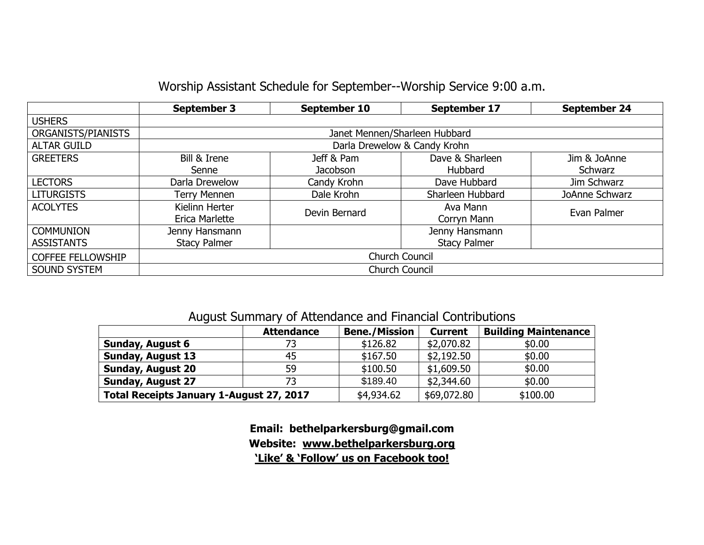### Worship Assistant Schedule for September--Worship Service 9:00 a.m.

|                          | <b>September 3</b>            | September 10  | September 17        | <b>September 24</b> |  |  |
|--------------------------|-------------------------------|---------------|---------------------|---------------------|--|--|
| <b>USHERS</b>            |                               |               |                     |                     |  |  |
| ORGANISTS/PIANISTS       | Janet Mennen/Sharleen Hubbard |               |                     |                     |  |  |
| <b>ALTAR GUILD</b>       | Darla Drewelow & Candy Krohn  |               |                     |                     |  |  |
| <b>GREETERS</b>          | Bill & Irene                  | Jeff & Pam    | Dave & Sharleen     | Jim & JoAnne        |  |  |
|                          | Senne                         | Jacobson      | Hubbard             | Schwarz             |  |  |
| <b>LECTORS</b>           | Darla Drewelow                | Candy Krohn   | Dave Hubbard        | Jim Schwarz         |  |  |
| <b>LITURGISTS</b>        | Terry Mennen                  | Dale Krohn    | Sharleen Hubbard    | JoAnne Schwarz      |  |  |
| <b>ACOLYTES</b>          | Kielinn Herter                | Devin Bernard | Ava Mann            | Evan Palmer         |  |  |
|                          | Erica Marlette                |               | Corryn Mann         |                     |  |  |
| <b>COMMUNION</b>         | Jenny Hansmann                |               | Jenny Hansmann      |                     |  |  |
| <b>ASSISTANTS</b>        | <b>Stacy Palmer</b>           |               | <b>Stacy Palmer</b> |                     |  |  |
| <b>COFFEE FELLOWSHIP</b> | <b>Church Council</b>         |               |                     |                     |  |  |
| <b>SOUND SYSTEM</b>      | <b>Church Council</b>         |               |                     |                     |  |  |

#### August Summary of Attendance and Financial Contributions

| <b>Attendance</b>                        |    | <b>Bene./Mission</b> | <b>Current</b> | <b>Building Maintenance</b> |  |
|------------------------------------------|----|----------------------|----------------|-----------------------------|--|
| <b>Sunday, August 6</b>                  |    | \$126.82             | \$2,070.82     | \$0.00                      |  |
| <b>Sunday, August 13</b>                 | 45 | \$167.50             | \$2,192.50     | \$0.00                      |  |
| <b>Sunday, August 20</b>                 | 59 | \$100.50             | \$1,609.50     | \$0.00                      |  |
| <b>Sunday, August 27</b>                 |    | \$189.40             | \$2,344.60     | \$0.00                      |  |
| Total Receipts January 1-August 27, 2017 |    | \$4,934.62           | \$69,072.80    | \$100.00                    |  |

**Email: bethelparkersburg@gmail.com Website: [www.bethelparkersburg.org](http://www.bethelparkersburg.org/) 'Like' & 'Follow' us on Facebook too!**